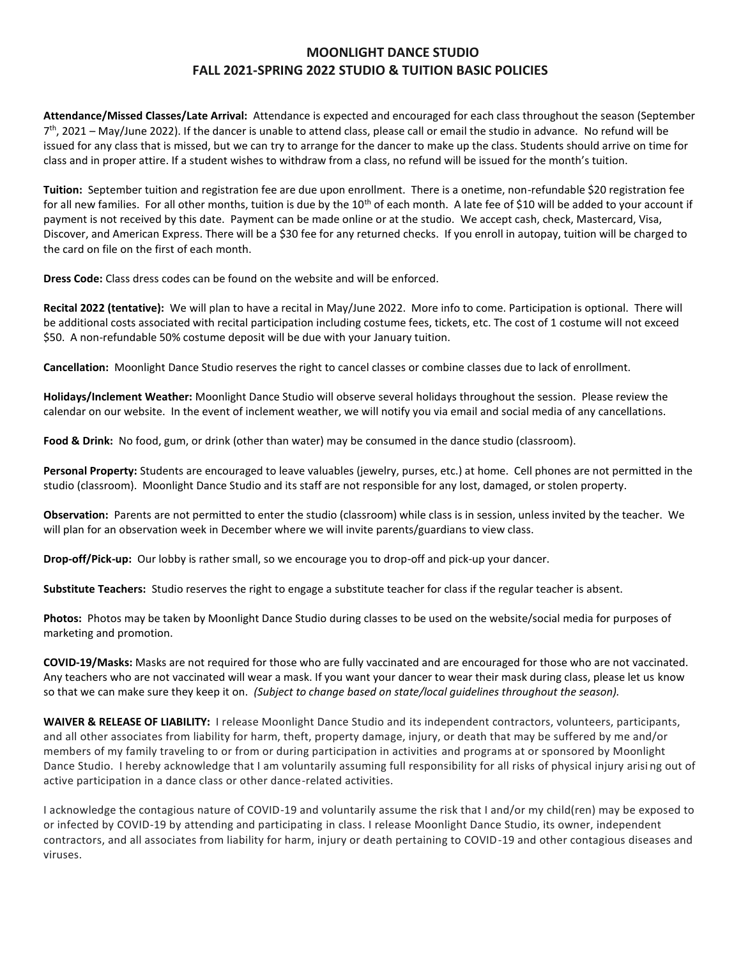## **MOONLIGHT DANCE STUDIO FALL 2021-SPRING 2022 STUDIO & TUITION BASIC POLICIES**

**Attendance/Missed Classes/Late Arrival:** Attendance is expected and encouraged for each class throughout the season (September 7 th, 2021 – May/June 2022). If the dancer is unable to attend class, please call or email the studio in advance. No refund will be issued for any class that is missed, but we can try to arrange for the dancer to make up the class. Students should arrive on time for class and in proper attire. If a student wishes to withdraw from a class, no refund will be issued for the month's tuition.

**Tuition:** September tuition and registration fee are due upon enrollment. There is a onetime, non-refundable \$20 registration fee for all new families. For all other months, tuition is due by the  $10^{th}$  of each month. A late fee of \$10 will be added to your account if payment is not received by this date. Payment can be made online or at the studio. We accept cash, check, Mastercard, Visa, Discover, and American Express. There will be a \$30 fee for any returned checks. If you enroll in autopay, tuition will be charged to the card on file on the first of each month.

**Dress Code:** Class dress codes can be found on the website and will be enforced.

**Recital 2022 (tentative):** We will plan to have a recital in May/June 2022. More info to come. Participation is optional. There will be additional costs associated with recital participation including costume fees, tickets, etc. The cost of 1 costume will not exceed \$50. A non-refundable 50% costume deposit will be due with your January tuition.

**Cancellation:** Moonlight Dance Studio reserves the right to cancel classes or combine classes due to lack of enrollment.

**Holidays/Inclement Weather:** Moonlight Dance Studio will observe several holidays throughout the session. Please review the calendar on our website. In the event of inclement weather, we will notify you via email and social media of any cancellations.

**Food & Drink:** No food, gum, or drink (other than water) may be consumed in the dance studio (classroom).

**Personal Property:** Students are encouraged to leave valuables (jewelry, purses, etc.) at home. Cell phones are not permitted in the studio (classroom). Moonlight Dance Studio and its staff are not responsible for any lost, damaged, or stolen property.

**Observation:** Parents are not permitted to enter the studio (classroom) while class is in session, unless invited by the teacher. We will plan for an observation week in December where we will invite parents/guardians to view class.

**Drop-off/Pick-up:** Our lobby is rather small, so we encourage you to drop-off and pick-up your dancer.

**Substitute Teachers:** Studio reserves the right to engage a substitute teacher for class if the regular teacher is absent.

**Photos:** Photos may be taken by Moonlight Dance Studio during classes to be used on the website/social media for purposes of marketing and promotion.

**COVID-19/Masks:** Masks are not required for those who are fully vaccinated and are encouraged for those who are not vaccinated. Any teachers who are not vaccinated will wear a mask. If you want your dancer to wear their mask during class, please let us know so that we can make sure they keep it on. *(Subject to change based on state/local guidelines throughout the season).* 

**WAIVER & RELEASE OF LIABILITY:** I release Moonlight Dance Studio and its independent contractors, volunteers, participants, and all other associates from liability for harm, theft, property damage, injury, or death that may be suffered by me and/or members of my family traveling to or from or during participation in activities and programs at or sponsored by Moonlight Dance Studio. I hereby acknowledge that I am voluntarily assuming full responsibility for all risks of physical injury arisi ng out of active participation in a dance class or other dance-related activities.

I acknowledge the contagious nature of COVID-19 and voluntarily assume the risk that I and/or my child(ren) may be exposed to or infected by COVID-19 by attending and participating in class. I release Moonlight Dance Studio, its owner, independent contractors, and all associates from liability for harm, injury or death pertaining to COVID-19 and other contagious diseases and viruses.